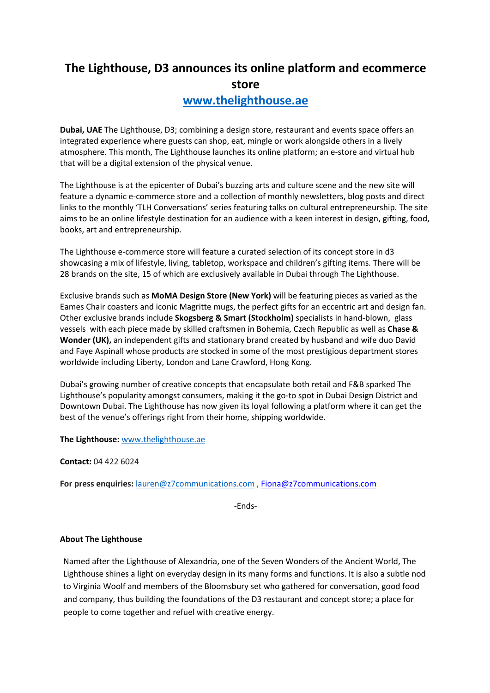## **The Lighthouse, D3 announces its online platform and ecommerce store**

## **www.thelighthouse.ae**

**Dubai, UAE** The Lighthouse, D3; combining a design store, restaurant and events space offers an integrated experience where guests can shop, eat, mingle or work alongside others in a lively atmosphere. This month, The Lighthouse launches its online platform; an e-store and virtual hub that will be a digital extension of the physical venue.

The Lighthouse is at the epicenter of Dubai's buzzing arts and culture scene and the new site will feature a dynamic e-commerce store and a collection of monthly newsletters, blog posts and direct links to the monthly 'TLH Conversations' series featuring talks on cultural entrepreneurship. The site aims to be an online lifestyle destination for an audience with a keen interest in design, gifting, food, books, art and entrepreneurship.

The Lighthouse e-commerce store will feature a curated selection of its concept store in d3 showcasing a mix of lifestyle, living, tabletop, workspace and children's gifting items. There will be 28 brands on the site, 15 of which are exclusively available in Dubai through The Lighthouse.

Exclusive brands such as **MoMA Design Store (New York)** will be featuring pieces as varied as the Eames Chair coasters and iconic Magritte mugs, the perfect gifts for an eccentric art and design fan. Other exclusive brands include **Skogsberg & Smart (Stockholm)** specialists in hand-blown, glass vessels with each piece made by skilled craftsmen in Bohemia, Czech Republic as well as **Chase & Wonder (UK),** an independent gifts and stationary brand created by husband and wife duo David and Faye Aspinall whose products are stocked in some of the most prestigious department stores worldwide including Liberty, London and Lane Crawford, Hong Kong.

Dubai's growing number of creative concepts that encapsulate both retail and F&B sparked The Lighthouse's popularity amongst consumers, making it the go-to spot in Dubai Design District and Downtown Dubai. The Lighthouse has now given its loyal following a platform where it can get the best of the venue's offerings right from their home, shipping worldwide.

**The Lighthouse:** www.thelighthouse.ae

**Contact:** 04 422 6024

**For press enquiries:** lauren@z7communications.com , Fiona@z7communications.com

-Ends-

## **About The Lighthouse**

Named after the Lighthouse of Alexandria, one of the Seven Wonders of the Ancient World, The Lighthouse shines a light on everyday design in its many forms and functions. It is also a subtle nod to Virginia Woolf and members of the Bloomsbury set who gathered for conversation, good food and company, thus building the foundations of the D3 restaurant and concept store; a place for people to come together and refuel with creative energy.